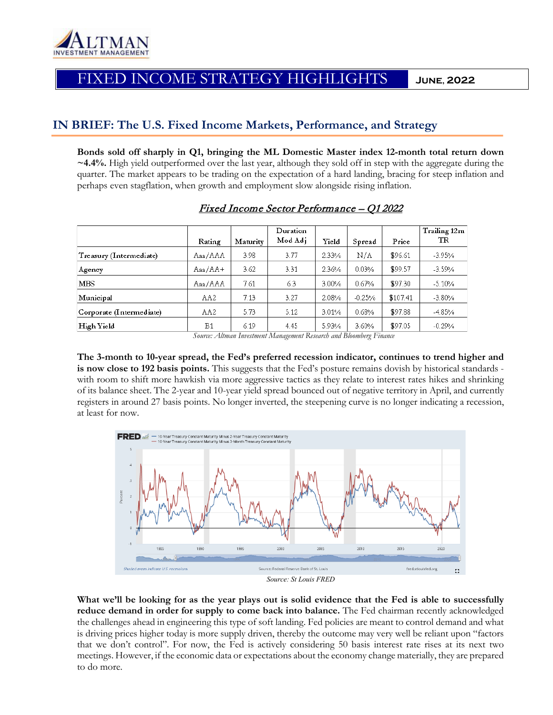

# FIXED INCOME STRATEGY HIGHLIGHTS **June, 2022**

## **IN BRIEF: The U.S. Fixed Income Markets, Performance, and Strategy**

**Bonds sold off sharply in Q1, bringing the ML Domestic Master index 12-month total return down ~4.4%.** High yield outperformed over the last year, although they sold off in step with the aggregate during the quarter. The market appears to be trading on the expectation of a hard landing, bracing for steep inflation and perhaps even stagflation, when growth and employment slow alongside rising inflation.

|                          |         |          | Duration |       |          |          | $\mathrm{Training}\,12\,\mathrm{m}$ |
|--------------------------|---------|----------|----------|-------|----------|----------|-------------------------------------|
|                          | Rating  | Maturity | Mod Adi  | Yield | Spread   | Price    | TR                                  |
| Treasury (Intermediate)  | Aaa/AAA | 3.98     | 3.77     | 2.33% | N/A      | \$96.61  | $-3.95%$                            |
| Agency                   | Aaa/AA+ | 3.62     | 3.31     | 2.36% | 0.03%    | \$99.57  | $-3.59%$                            |
| <b>MBS</b>               | Aaa/AAA | 7.61     | 6.3      | 3.00% | 0.67%    | \$97.30  | $-5.10%$                            |
| Municipal                | AA2     | 7.13     | 3.27     | 2.08% | $-0.25%$ | \$107.41 | $-3.80%$                            |
| Corporate (Intermediate) | AA2     | 5.73     | 5.12     | 3.01% | 0.68%    | \$97.88  | $-4.85%$                            |
| High Yield               | B1      | 6.19     | 4.45     | 5.93% | 3.60%    | \$97.05  | $-0.29%$                            |

### Fixed Income Sector Performance – Q1 2022

 *Source: Altman Investment Management Research and Bloomberg Finance*

**The 3-month to 10-year spread, the Fed's preferred recession indicator, continues to trend higher and is now close to 192 basis points.** This suggests that the Fed's posture remains dovish by historical standards with room to shift more hawkish via more aggressive tactics as they relate to interest rates hikes and shrinking of its balance sheet. The 2-year and 10-year yield spread bounced out of negative territory in April, and currently registers in around 27 basis points. No longer inverted, the steepening curve is no longer indicating a recession, at least for now.



*Source: St Louis FRED* 

**What we'll be looking for as the year plays out is solid evidence that the Fed is able to successfully reduce demand in order for supply to come back into balance.** The Fed chairman recently acknowledged the challenges ahead in engineering this type of soft landing. Fed policies are meant to control demand and what is driving prices higher today is more supply driven, thereby the outcome may very well be reliant upon "factors that we don't control". For now, the Fed is actively considering 50 basis interest rate rises at its next two meetings. However, if the economic data or expectations about the economy change materially, they are prepared to do more.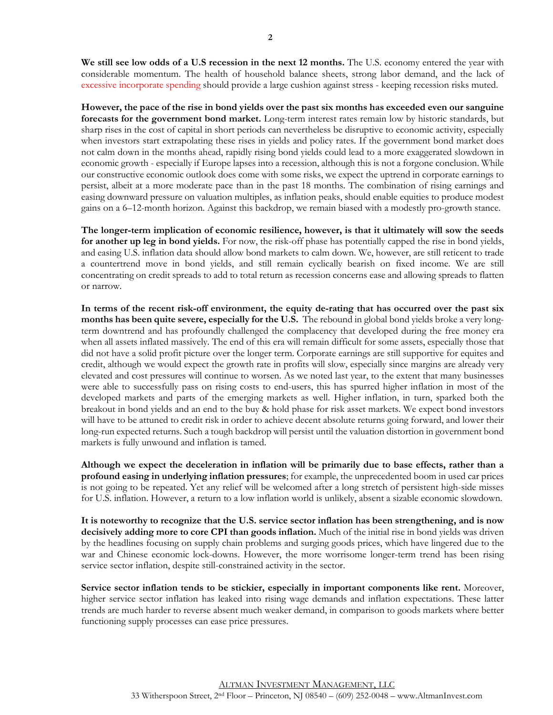**We still see low odds of a U.S recession in the next 12 months.** The U.S. economy entered the year with considerable momentum. The health of household balance sheets, strong labor demand, and the lack of excessive incorporate spending should provide a large cushion against stress - keeping recession risks muted.

**However, the pace of the rise in bond yields over the past six months has exceeded even our sanguine forecasts for the government bond market.** Long-term interest rates remain low by historic standards, but sharp rises in the cost of capital in short periods can nevertheless be disruptive to economic activity, especially when investors start extrapolating these rises in yields and policy rates. If the government bond market does not calm down in the months ahead, rapidly rising bond yields could lead to a more exaggerated slowdown in economic growth - especially if Europe lapses into a recession, although this is not a forgone conclusion. While our constructive economic outlook does come with some risks, we expect the uptrend in corporate earnings to persist, albeit at a more moderate pace than in the past 18 months. The combination of rising earnings and easing downward pressure on valuation multiples, as inflation peaks, should enable equities to produce modest gains on a 6–12-month horizon. Against this backdrop, we remain biased with a modestly pro-growth stance.

**The longer-term implication of economic resilience, however, is that it ultimately will sow the seeds for another up leg in bond yields.** For now, the risk-off phase has potentially capped the rise in bond yields, and easing U.S. inflation data should allow bond markets to calm down. We, however, are still reticent to trade a countertrend move in bond yields, and still remain cyclically bearish on fixed income. We are still concentrating on credit spreads to add to total return as recession concerns ease and allowing spreads to flatten or narrow.

**In terms of the recent risk-off environment, the equity de-rating that has occurred over the past six months has been quite severe, especially for the U.S.** The rebound in global bond yields broke a very longterm downtrend and has profoundly challenged the complacency that developed during the free money era when all assets inflated massively. The end of this era will remain difficult for some assets, especially those that did not have a solid profit picture over the longer term. Corporate earnings are still supportive for equites and credit, although we would expect the growth rate in profits will slow, especially since margins are already very elevated and cost pressures will continue to worsen. As we noted last year, to the extent that many businesses were able to successfully pass on rising costs to end-users, this has spurred higher inflation in most of the developed markets and parts of the emerging markets as well. Higher inflation, in turn, sparked both the breakout in bond yields and an end to the buy & hold phase for risk asset markets. We expect bond investors will have to be attuned to credit risk in order to achieve decent absolute returns going forward, and lower their long-run expected returns. Such a tough backdrop will persist until the valuation distortion in government bond markets is fully unwound and inflation is tamed.

**Although we expect the deceleration in inflation will be primarily due to base effects, rather than a profound easing in underlying inflation pressures**; for example, the unprecedented boom in used car prices is not going to be repeated. Yet any relief will be welcomed after a long stretch of persistent high-side misses for U.S. inflation. However, a return to a low inflation world is unlikely, absent a sizable economic slowdown.

**It is noteworthy to recognize that the U.S. service sector inflation has been strengthening, and is now decisively adding more to core CPI than goods inflation.** Much of the initial rise in bond yields was driven by the headlines focusing on supply chain problems and surging goods prices, which have lingered due to the war and Chinese economic lock-downs. However, the more worrisome longer-term trend has been rising service sector inflation, despite still-constrained activity in the sector.

**Service sector inflation tends to be stickier, especially in important components like rent.** Moreover, higher service sector inflation has leaked into rising wage demands and inflation expectations. These latter trends are much harder to reverse absent much weaker demand, in comparison to goods markets where better functioning supply processes can ease price pressures.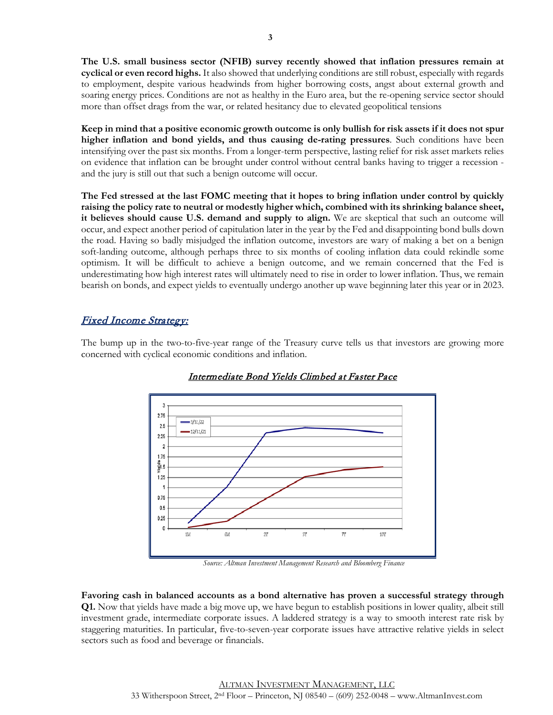**The U.S. small business sector (NFIB) survey recently showed that inflation pressures remain at cyclical or even record highs.** It also showed that underlying conditions are still robust, especially with regards to employment, despite various headwinds from higher borrowing costs, angst about external growth and soaring energy prices. Conditions are not as healthy in the Euro area, but the re-opening service sector should more than offset drags from the war, or related hesitancy due to elevated geopolitical tensions

**Keep in mind that a positive economic growth outcome is only bullish for risk assets if it does not spur higher inflation and bond yields, and thus causing de-rating pressures**. Such conditions have been intensifying over the past six months. From a longer-term perspective, lasting relief for risk asset markets relies on evidence that inflation can be brought under control without central banks having to trigger a recession and the jury is still out that such a benign outcome will occur.

**The Fed stressed at the last FOMC meeting that it hopes to bring inflation under control by quickly raising the policy rate to neutral or modestly higher which, combined with its shrinking balance sheet, it believes should cause U.S. demand and supply to align.** We are skeptical that such an outcome will occur, and expect another period of capitulation later in the year by the Fed and disappointing bond bulls down the road. Having so badly misjudged the inflation outcome, investors are wary of making a bet on a benign soft-landing outcome, although perhaps three to six months of cooling inflation data could rekindle some optimism. It will be difficult to achieve a benign outcome, and we remain concerned that the Fed is underestimating how high interest rates will ultimately need to rise in order to lower inflation. Thus, we remain bearish on bonds, and expect yields to eventually undergo another up wave beginning later this year or in 2023.

### Fixed Income Strategy:

The bump up in the two-to-five-year range of the Treasury curve tells us that investors are growing more concerned with cyclical economic conditions and inflation.



Intermediate Bond Yields Climbed at Faster Pace

 *Source: Altman Investment Management Research and Bloomberg Finance*

**Favoring cash in balanced accounts as a bond alternative has proven a successful strategy through Q1.** Now that yields have made a big move up, we have begun to establish positions in lower quality, albeit still investment grade, intermediate corporate issues. A laddered strategy is a way to smooth interest rate risk by staggering maturities. In particular, five-to-seven-year corporate issues have attractive relative yields in select sectors such as food and beverage or financials.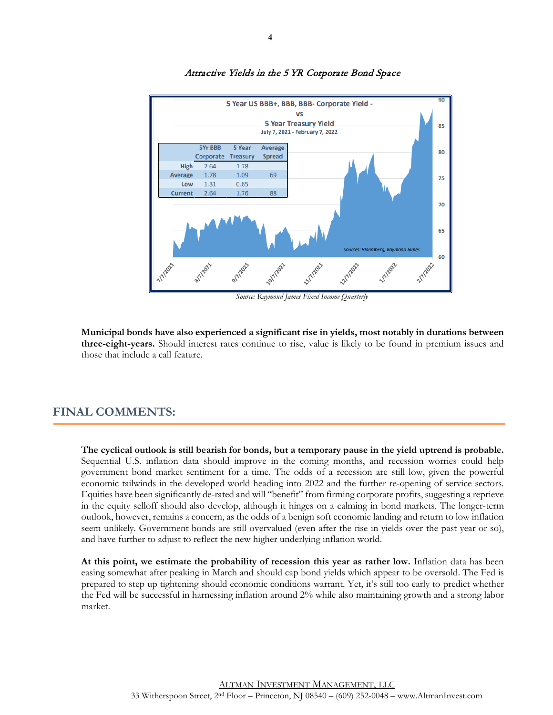

#### Attractive Yields in the 5 YR Corporate Bond Space

 *Source: Raymond James Fixed Income Quarterly*

**Municipal bonds have also experienced a significant rise in yields, most notably in durations between three-eight-years.** Should interest rates continue to rise, value is likely to be found in premium issues and those that include a call feature.

## **FINAL COMMENTS:**

**The cyclical outlook is still bearish for bonds, but a temporary pause in the yield uptrend is probable.** Sequential U.S. inflation data should improve in the coming months, and recession worries could help government bond market sentiment for a time. The odds of a recession are still low, given the powerful economic tailwinds in the developed world heading into 2022 and the further re-opening of service sectors. Equities have been significantly de-rated and will "benefit" from firming corporate profits, suggesting a reprieve in the equity selloff should also develop, although it hinges on a calming in bond markets. The longer-term outlook, however, remains a concern, as the odds of a benign soft economic landing and return to low inflation seem unlikely. Government bonds are still overvalued (even after the rise in yields over the past year or so), and have further to adjust to reflect the new higher underlying inflation world.

**At this point, we estimate the probability of recession this year as rather low.** Inflation data has been easing somewhat after peaking in March and should cap bond yields which appear to be oversold. The Fed is prepared to step up tightening should economic conditions warrant. Yet, it's still too early to predict whether the Fed will be successful in harnessing inflation around 2% while also maintaining growth and a strong labor market.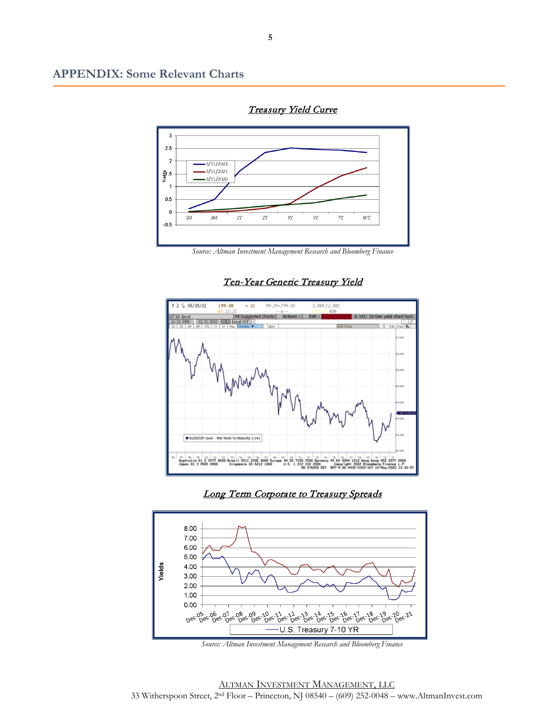

Treasury Yield Curve

*Source: Altman Investment Management Research and Bloomberg Finance*

Ten-Year Generic Treasury Yield



## Long Term Corporate to Treasury Spreads



 *Source: Altman Investment Management Research and Bloomberg Finance*